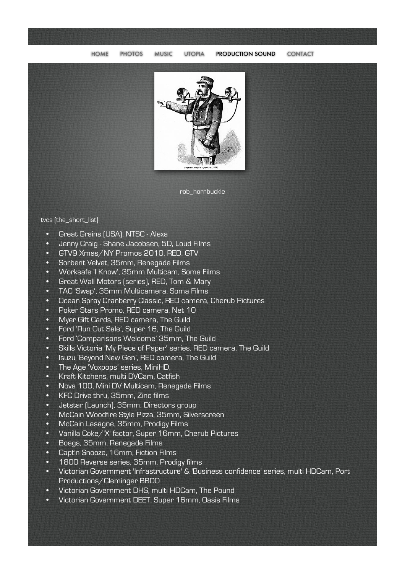

rob\_hornbuckle

## tvcs (the\_short\_list)

- Great Grains (USA), NTSC Alexa
- Jenny Craig Shane Jacobsen, 5D, Loud Films
- GTV9 Xmas/NY Promos 2010, RED, GTV
- Sorbent Velvet, 35mm, Renegade Films
- Worksafe 'I Know', 35mm Multicam, Soma Films
- Great Wall Motors (series), RED, Tom & Mary
- TAC 'Swap', 35mm Multicamera, Soma Films
- Ocean Spray Cranberry Classic, RED camera, Cherub Pictures
- Poker Stars Promo, RED camera, Net 10
- Myer Gift Cards, RED camera, The Guild
- Ford 'Run Out Sale', Super 16, The Guild
- Ford 'Comparisons Welcome' 35mm, The Guild
- Skills Victoria 'My Piece of Paper' series, RED camera, The Guild
- Isuzu 'Beyond New Gen', RED camera, The Guild
- The Age 'Voxpops' series, MiniHD,
- Kraft Kitchens, multi DVCam, Catfish
- Nova 100, Mini DV Multicam, Renegade Films
- KFC Drive thru, 35mm, Zinc films
- Jetstar (Launch), 35mm, Directors group
- McCain Woodfire Style Pizza, 35mm, Silverscreen
- McCain Lasagne, 35mm, Prodigy Films
- Vanilla Coke/'X' factor, Super 16mm, Cherub Pictures
- Boags, 35mm, Renegade Films
- Capt'n Snooze, 16mm, Fiction Films
- 1800 Reverse series, 35mm, Prodigy films
- Victorian Government 'Infrastructure' & 'Business confidence' series, multi HDCam, Port Productions/Cleminger BBDO
- Victorian Government DHS, multi HDCam, The Pound
- Victorian Government DEET, Super 16mm, Oasis Films